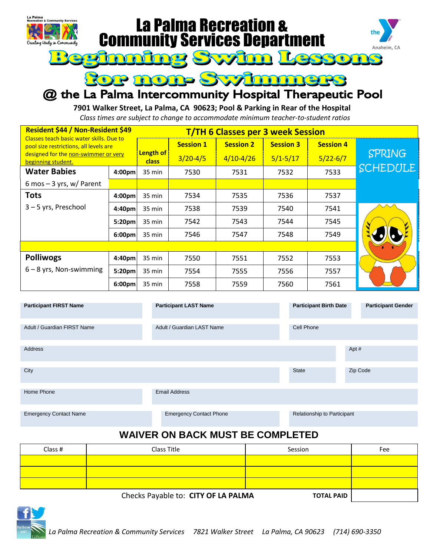

 $\mathbf{C}_0$  if

g

# **La Palma Recreation &<br>Community Services Department** maing Syzim





## @ the La Palma Intercommunity Hospital Therapeutic Pool

**7901 Walker Street, La Palma, CA 90623; Pool & Parking in Rear of the Hospital** *Class times are subject to change to accommodate minimum teacher-to-student ratios*

| Resident \$44 / Non-Resident \$49<br><b>T/TH 6 Classes per 3 week Session</b>      |                    |                           |                  |                  |                  |                  |                 |  |
|------------------------------------------------------------------------------------|--------------------|---------------------------|------------------|------------------|------------------|------------------|-----------------|--|
| Classes teach basic water skills. Due to<br>pool size restrictions, all levels are |                    |                           | <b>Session 1</b> | <b>Session 2</b> | <b>Session 3</b> | <b>Session 4</b> |                 |  |
| designed for the non-swimmer or very<br>beginning student.                         |                    | <b>Length of</b><br>class | $3/20 - 4/5$     | $4/10 - 4/26$    | $5/1 - 5/17$     | $5/22 - 6/7$     | <b>SPRING</b>   |  |
| <b>Water Babies</b>                                                                | 4:00 <sub>pm</sub> | 35 min                    | 7530             | 7531             | 7532             | 7533             | <b>SCHEDULE</b> |  |
| 6 mos $-$ 3 yrs, w/ Parent                                                         |                    |                           |                  |                  |                  |                  |                 |  |
| <b>Tots</b>                                                                        | 4:00 <sub>pm</sub> | 35 min                    | 7534             | 7535             | 7536             | 7537             |                 |  |
| $3 - 5$ yrs, Preschool                                                             | 4:40pm             | $35 \text{ min}$          | 7538             | 7539             | 7540             | 7541             |                 |  |
|                                                                                    | 5:20pm             | $35 \text{ min}$          | 7542             | 7543             | 7544             | 7545             |                 |  |
|                                                                                    | 6:00pm             | 35 min                    | 7546             | 7547             | 7548             | 7549             |                 |  |
|                                                                                    |                    |                           |                  |                  |                  |                  |                 |  |
| <b>Polliwogs</b>                                                                   | 4:40 <sub>pm</sub> | 35 min                    | 7550             | 7551             | 7552             | 7553             |                 |  |
| $6 - 8$ yrs, Non-swimming                                                          | 5:20pm             | 35 min                    | 7554             | 7555             | 7556             | 7557             |                 |  |
|                                                                                    | 6:00 <sub>pm</sub> | 35 min                    | 7558             | 7559             | 7560             | 7561             |                 |  |

| <b>Participant FIRST Name</b> | <b>Participant LAST Name</b>   | <b>Participant Birth Date</b> | <b>Participant Gender</b> |
|-------------------------------|--------------------------------|-------------------------------|---------------------------|
| Adult / Guardian FIRST Name   | Adult / Guardian LAST Name     | Cell Phone                    |                           |
| Address                       |                                |                               | Apt#                      |
| City                          |                                | <b>State</b>                  | Zip Code                  |
| Home Phone                    | <b>Email Address</b>           |                               |                           |
| <b>Emergency Contact Name</b> | <b>Emergency Contact Phone</b> | Relationship to Participant   |                           |

## **WAIVER ON BACK MUST BE COMPLETED**

| Class # | Class Title | Session | Fee |
|---------|-------------|---------|-----|
|         |             |         |     |
|         |             |         |     |
|         |             |         |     |
|         |             |         |     |